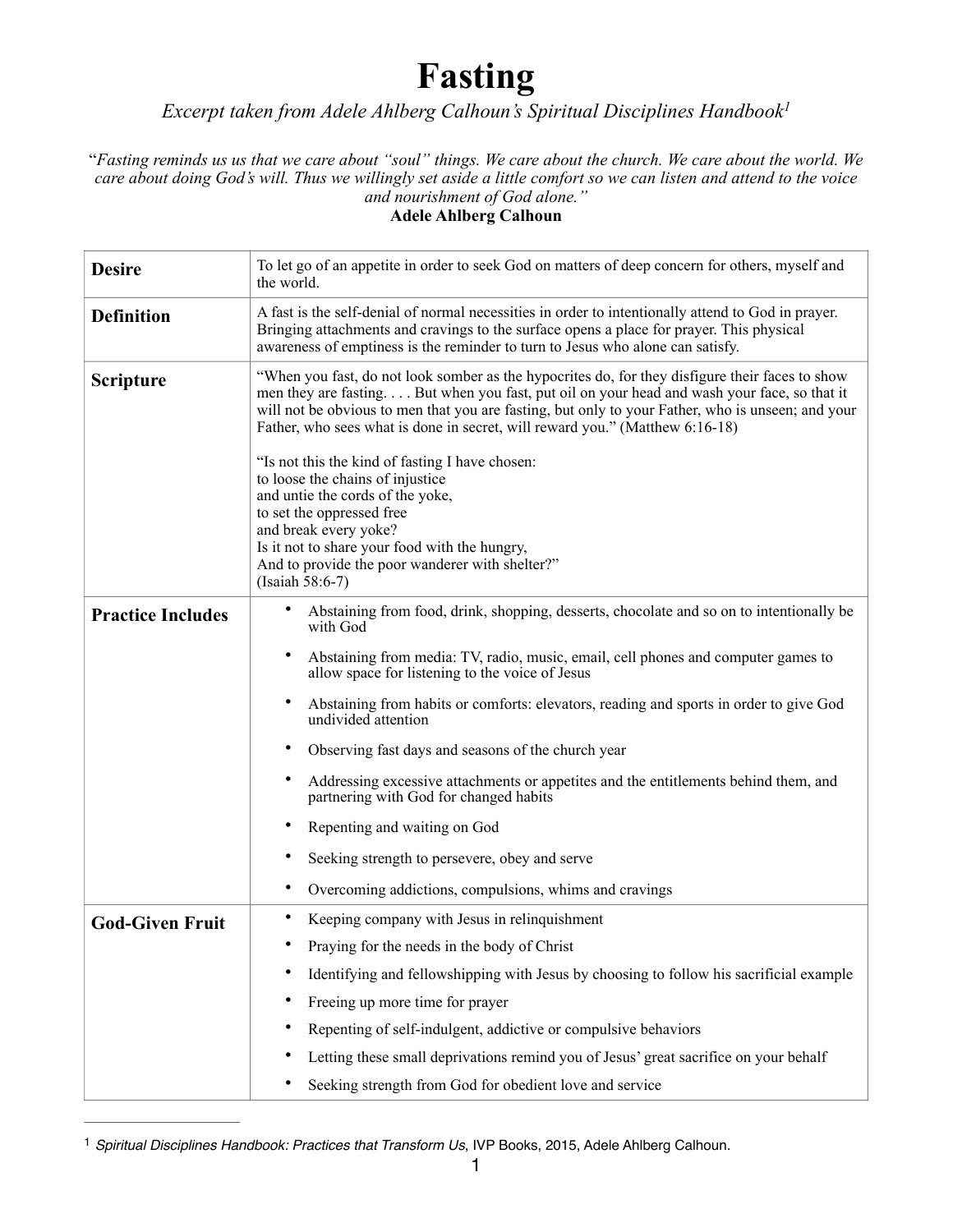# **Fasting**

### *Excerpt taken from Adele Ahlberg Calhoun's Spiritual Disciplines Handbook1*

#### "*Fasting reminds us us that we care about "soul" things. We care about the church. We care about the world. We care about doing God's will. Thus we willingly set aside a little comfort so we can listen and attend to the voice and nourishment of God alone."*

#### **Adele Ahlberg Calhoun**

| <b>Desire</b>            | To let go of an appetite in order to seek God on matters of deep concern for others, myself and<br>the world.                                                                                                                                                                                                                                                                                                                                                                                                                                                                                                                                                                                                                 |
|--------------------------|-------------------------------------------------------------------------------------------------------------------------------------------------------------------------------------------------------------------------------------------------------------------------------------------------------------------------------------------------------------------------------------------------------------------------------------------------------------------------------------------------------------------------------------------------------------------------------------------------------------------------------------------------------------------------------------------------------------------------------|
| <b>Definition</b>        | A fast is the self-denial of normal necessities in order to intentionally attend to God in prayer.<br>Bringing attachments and cravings to the surface opens a place for prayer. This physical<br>awareness of emptiness is the reminder to turn to Jesus who alone can satisfy.                                                                                                                                                                                                                                                                                                                                                                                                                                              |
| <b>Scripture</b>         | "When you fast, do not look somber as the hypocrites do, for they disfigure their faces to show<br>men they are fasting But when you fast, put oil on your head and wash your face, so that it<br>will not be obvious to men that you are fasting, but only to your Father, who is unseen; and your<br>Father, who sees what is done in secret, will reward you." (Matthew 6:16-18)<br>"Is not this the kind of fasting I have chosen:<br>to loose the chains of injustice<br>and untie the cords of the yoke,<br>to set the oppressed free<br>and break every yoke?<br>Is it not to share your food with the hungry,<br>And to provide the poor wanderer with shelter?"<br>$(Isaiah 58:6-7)$                                 |
| <b>Practice Includes</b> | ٠<br>Abstaining from food, drink, shopping, desserts, chocolate and so on to intentionally be<br>with God<br>٠<br>Abstaining from media: TV, radio, music, email, cell phones and computer games to<br>allow space for listening to the voice of Jesus<br>٠<br>Abstaining from habits or comforts: elevators, reading and sports in order to give God<br>undivided attention<br>Observing fast days and seasons of the church year<br>٠<br>Addressing excessive attachments or appetites and the entitlements behind them, and<br>partnering with God for changed habits<br>Repenting and waiting on God<br>Seeking strength to persevere, obey and serve<br>٠<br>Overcoming addictions, compulsions, whims and cravings<br>٠ |
| <b>God-Given Fruit</b>   | Keeping company with Jesus in relinquishment<br>Praying for the needs in the body of Christ<br>Identifying and fellowshipping with Jesus by choosing to follow his sacrificial example<br>Freeing up more time for prayer<br>Repenting of self-indulgent, addictive or compulsive behaviors<br>Letting these small deprivations remind you of Jesus' great sacrifice on your behalf<br>Seeking strength from God for obedient love and service                                                                                                                                                                                                                                                                                |

<sup>&</sup>lt;sup>1</sup> Spiritual Disciplines Handbook: Practices that Transform Us, IVP Books, 2015, Adele Ahlberg Calhoun.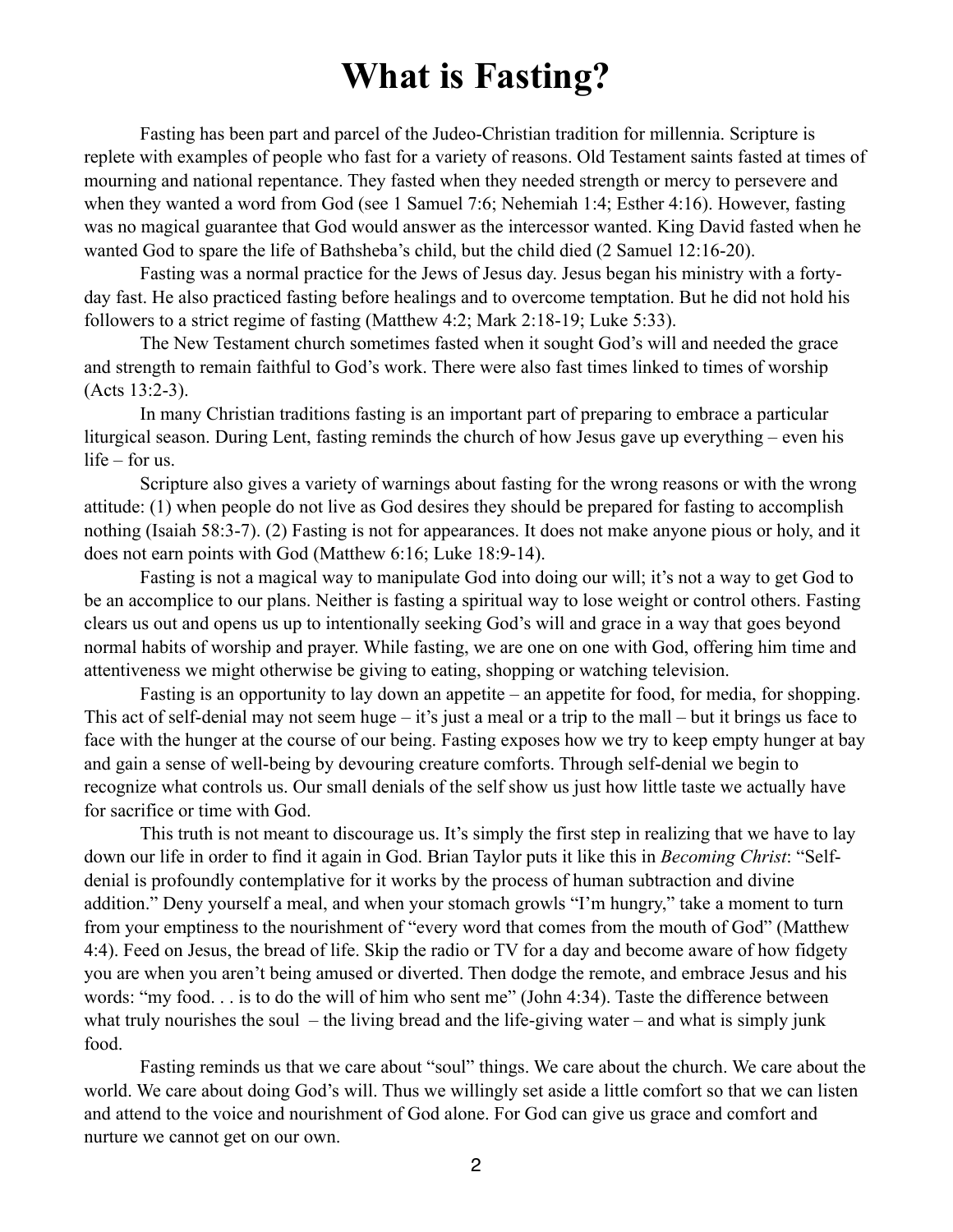## **What is Fasting?**

Fasting has been part and parcel of the Judeo-Christian tradition for millennia. Scripture is replete with examples of people who fast for a variety of reasons. Old Testament saints fasted at times of mourning and national repentance. They fasted when they needed strength or mercy to persevere and when they wanted a word from God (see 1 Samuel 7:6; Nehemiah 1:4; Esther 4:16). However, fasting was no magical guarantee that God would answer as the intercessor wanted. King David fasted when he wanted God to spare the life of Bathsheba's child, but the child died (2 Samuel 12:16-20).

 Fasting was a normal practice for the Jews of Jesus day. Jesus began his ministry with a fortyday fast. He also practiced fasting before healings and to overcome temptation. But he did not hold his followers to a strict regime of fasting (Matthew 4:2; Mark 2:18-19; Luke 5:33).

 The New Testament church sometimes fasted when it sought God's will and needed the grace and strength to remain faithful to God's work. There were also fast times linked to times of worship (Acts 13:2-3).

 In many Christian traditions fasting is an important part of preparing to embrace a particular liturgical season. During Lent, fasting reminds the church of how Jesus gave up everything – even his life – for us.

 Scripture also gives a variety of warnings about fasting for the wrong reasons or with the wrong attitude: (1) when people do not live as God desires they should be prepared for fasting to accomplish nothing (Isaiah 58:3-7). (2) Fasting is not for appearances. It does not make anyone pious or holy, and it does not earn points with God (Matthew 6:16; Luke 18:9-14).

 Fasting is not a magical way to manipulate God into doing our will; it's not a way to get God to be an accomplice to our plans. Neither is fasting a spiritual way to lose weight or control others. Fasting clears us out and opens us up to intentionally seeking God's will and grace in a way that goes beyond normal habits of worship and prayer. While fasting, we are one on one with God, offering him time and attentiveness we might otherwise be giving to eating, shopping or watching television.

 Fasting is an opportunity to lay down an appetite – an appetite for food, for media, for shopping. This act of self-denial may not seem huge – it's just a meal or a trip to the mall – but it brings us face to face with the hunger at the course of our being. Fasting exposes how we try to keep empty hunger at bay and gain a sense of well-being by devouring creature comforts. Through self-denial we begin to recognize what controls us. Our small denials of the self show us just how little taste we actually have for sacrifice or time with God.

 This truth is not meant to discourage us. It's simply the first step in realizing that we have to lay down our life in order to find it again in God. Brian Taylor puts it like this in *Becoming Christ*: "Selfdenial is profoundly contemplative for it works by the process of human subtraction and divine addition." Deny yourself a meal, and when your stomach growls "I'm hungry," take a moment to turn from your emptiness to the nourishment of "every word that comes from the mouth of God" (Matthew 4:4). Feed on Jesus, the bread of life. Skip the radio or TV for a day and become aware of how fidgety you are when you aren't being amused or diverted. Then dodge the remote, and embrace Jesus and his words: "my food. . . is to do the will of him who sent me" (John 4:34). Taste the difference between what truly nourishes the soul – the living bread and the life-giving water – and what is simply junk food.

 Fasting reminds us that we care about "soul" things. We care about the church. We care about the world. We care about doing God's will. Thus we willingly set aside a little comfort so that we can listen and attend to the voice and nourishment of God alone. For God can give us grace and comfort and nurture we cannot get on our own.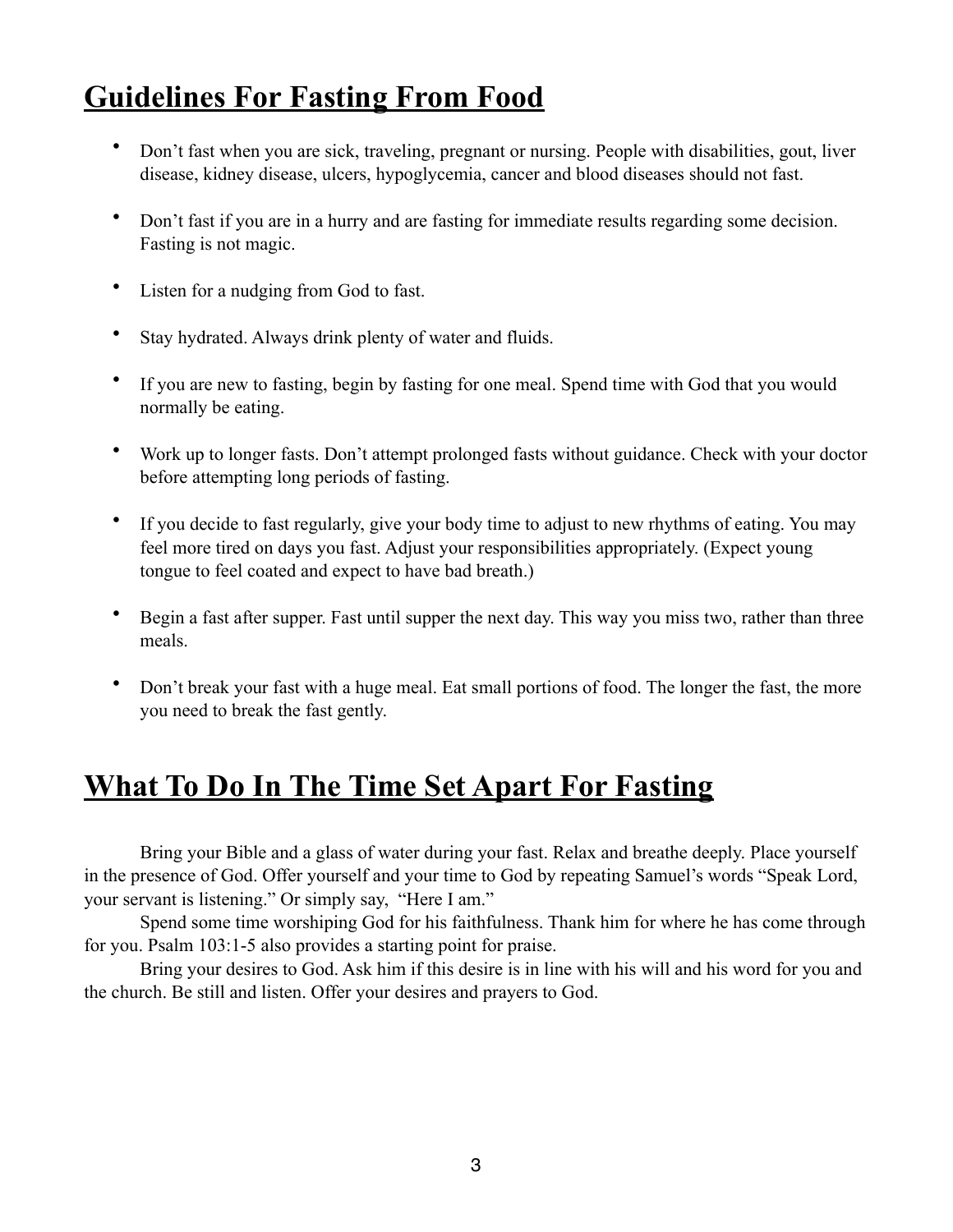## **Guidelines For Fasting From Food**

- Don't fast when you are sick, traveling, pregnant or nursing. People with disabilities, gout, liver disease, kidney disease, ulcers, hypoglycemia, cancer and blood diseases should not fast.
- Don't fast if you are in a hurry and are fasting for immediate results regarding some decision. Fasting is not magic.
- Listen for a nudging from God to fast.
- Stay hydrated. Always drink plenty of water and fluids.
- If you are new to fasting, begin by fasting for one meal. Spend time with God that you would normally be eating.
- Work up to longer fasts. Don't attempt prolonged fasts without guidance. Check with your doctor before attempting long periods of fasting.
- If you decide to fast regularly, give your body time to adjust to new rhythms of eating. You may feel more tired on days you fast. Adjust your responsibilities appropriately. (Expect young tongue to feel coated and expect to have bad breath.)
- Begin a fast after supper. Fast until supper the next day. This way you miss two, rather than three meals.
- Don't break your fast with a huge meal. Eat small portions of food. The longer the fast, the more you need to break the fast gently.

## **What To Do In The Time Set Apart For Fasting**

 Bring your Bible and a glass of water during your fast. Relax and breathe deeply. Place yourself in the presence of God. Offer yourself and your time to God by repeating Samuel's words "Speak Lord, your servant is listening." Or simply say, "Here I am."

 Spend some time worshiping God for his faithfulness. Thank him for where he has come through for you. Psalm 103:1-5 also provides a starting point for praise.

 Bring your desires to God. Ask him if this desire is in line with his will and his word for you and the church. Be still and listen. Offer your desires and prayers to God.